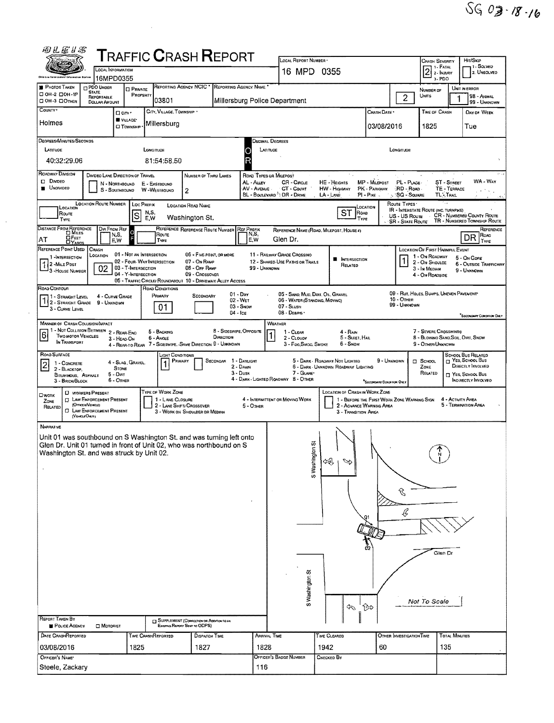|                                                                                                                    | LOCAL INFORMATION                                                                                                                 |                                                                        | <b>TRAFFIC CRASH REPORT</b>                                                                                                                  |                                                                             |                                                          |                                                     | LOCAL REPORT NUMBER<br>16 MPD 0355                                                              |                                                                       |                                                                         |                                                       | <b>CRASH SEVERITY</b><br>$21. FATAL$<br>2. INJURY                    |                                                                                                        | Hrt/Sxie<br>11 - SOLVED<br>2. UNSOLVED |
|--------------------------------------------------------------------------------------------------------------------|-----------------------------------------------------------------------------------------------------------------------------------|------------------------------------------------------------------------|----------------------------------------------------------------------------------------------------------------------------------------------|-----------------------------------------------------------------------------|----------------------------------------------------------|-----------------------------------------------------|-------------------------------------------------------------------------------------------------|-----------------------------------------------------------------------|-------------------------------------------------------------------------|-------------------------------------------------------|----------------------------------------------------------------------|--------------------------------------------------------------------------------------------------------|----------------------------------------|
| <b>PHOTOS TAKEN</b>                                                                                                | 16MPD0355<br><b>PDO UNDER</b>                                                                                                     | <b>D</b> PRIVATE                                                       | REPORTING AGENCY NCIC                                                                                                                        |                                                                             | REPORTING AGENCY NAME                                    |                                                     |                                                                                                 |                                                                       |                                                                         |                                                       | $3 - PDO$<br>NUMBER OF                                               | UNIT IN ERROR                                                                                          |                                        |
| □ ОН-2 □ ОН-1Р<br>ООН-3 ООТНЕВ                                                                                     | <b>STATE</b><br><b>PEPORTABLE</b><br>DOLLAR AMOUNT                                                                                | PROPERTY                                                               | 03801                                                                                                                                        |                                                                             |                                                          |                                                     | Millersburg Police Department                                                                   |                                                                       |                                                                         | $\overline{2}$                                        | UNITS                                                                |                                                                                                        | 98 - ANIMAL<br>99 - UNKNOWN            |
| COUNTY <sup>®</sup>                                                                                                |                                                                                                                                   | <b>D</b> City *<br>VILLAGE*                                            | CITY, VILLAGE, TOWNSHIP .                                                                                                                    |                                                                             |                                                          |                                                     |                                                                                                 |                                                                       | CRASH DATE *                                                            |                                                       | TIME OF CRASH                                                        |                                                                                                        | DAY OF WEEK                            |
| Holmes                                                                                                             |                                                                                                                                   | <b>CJ</b> TOWNSHIP                                                     | Millersburg                                                                                                                                  |                                                                             |                                                          |                                                     |                                                                                                 |                                                                       | 03/08/2016                                                              |                                                       | 1825                                                                 |                                                                                                        | Tue                                    |
| DEGREES/MINUTES/SECONDS<br>LATITUDE<br>40:32:29.06                                                                 |                                                                                                                                   |                                                                        | LONGITUDE<br>81:54:58.50                                                                                                                     |                                                                             |                                                          | R                                                   | <b>DECIMAL DEGREES</b><br>LATITUDE                                                              |                                                                       |                                                                         | Longitude                                             |                                                                      |                                                                                                        |                                        |
| <b>ROADWAY DIVISION</b><br><b>D</b> DWDED<br><b>UNDIVIDED</b>                                                      | DIVIDEO LANE DIRECTION OF TRAVEL<br>N - NORTHBOUND<br>S - SDUTHBOUND<br><b>LOCATION ROUTE NUMBER</b>                              |                                                                        | E - EASTBOUND<br>W-WESTBOUND<br>2                                                                                                            | NUMBER OF THRU LANES                                                        |                                                          | ROAD TYPES OR MILEPOST<br>AL - ALLEY<br>AV - AVENUE | CR - CIRCLE<br>CT - COURT<br>BL - BOULEVARD <sup>3</sup> : DR - DRIVE                           | HE - HEIGHTS<br><b>HW</b> - HIGHWAY<br>$LA$ - $LME$                   | MP - MILEPOST<br>PK - PARKWAY.<br>$PI - P_{IKE}$                        | PL - PLACE<br>RD - Road<br>SQ - SQUARE<br>ROUTE TYPES | <b>TLETRAL</b><br>$\sim$ $\epsilon$                                  | ST - STREET<br>TE - TERRACE                                                                            | WA - Way                               |
| LOCATION<br>ROUTE<br>TYPE                                                                                          |                                                                                                                                   | LOC PREFIX<br>S                                                        | <b>LOCATION ROAD NAME</b><br>N,S,<br>E,W                                                                                                     | Washington St.                                                              |                                                          |                                                     |                                                                                                 | ST                                                                    | LOCATION<br>ROAD<br>Type                                                | US - US Route                                         | <b>IR - INTERSTATE ROUTE (INC. TURNPIKE)</b><br>$\sim$               | <b>CR - NUMBERED COUNTY ROUTE</b>                                                                      |                                        |
| DISTANCE FROM REFERENCE                                                                                            | Dir From Ref<br>N,S,                                                                                                              |                                                                        | REFERENCE REFERENCE ROUTE NUMBER REF PREFIX<br>ROUTE                                                                                         |                                                                             |                                                          | N,S,                                                |                                                                                                 | REFERENCE NAME (ROAD, MILEPOST, HOUSE #)                              |                                                                         | <b>SR - STATE ROUTE</b>                               |                                                                      | TR - NUMBERED TOWNSHIP ROUTE                                                                           | ROAD                                   |
| $\Box$ FEET<br>AT<br><b>CIYARDS</b><br>REFERENCE POINT USED                                                        | E.W<br>CRASH                                                                                                                      |                                                                        | TYPE                                                                                                                                         |                                                                             |                                                          | E.W                                                 | Glen Dr.                                                                                        |                                                                       |                                                                         |                                                       | LOCATION OF FIRST HARMFUL EVENT                                      |                                                                                                        | DR                                     |
| 1 -INTERSECTION<br>2 -MILE POST<br><sup>1</sup> 3 - House Number                                                   | LOCATION<br>02                                                                                                                    | 01 - Not an Intersection<br>03 - T-INTERSECTION<br>04 - Y-INTERSECTION | 02 - FOUR- WAY INTERSECTION<br>05 - TRAFFIC CIRCLE/ ROUNDABOUT 10 - DRIVEWAY/ ALLEY ACCESS                                                   | 06 - FIVE-POINT, OR MORE<br>07 - On RAMP<br>08 - Off RAMP<br>09 - CROSSOVER |                                                          | 99 - UNKNOWN                                        | 11 - RAILWAY GRADE CROSSINO<br>12 - SHARED-USE PATHS OR TRAILS                                  | <b>NTERSECTION</b><br>RELATED                                         |                                                                         |                                                       | 1 - On ROADWAY<br>2 - On Shoulde<br>3 - In Median<br>4 - On ROADSIDE | 5 - On Gone<br><b>6 - OUTSIDE TRAFFICWAY</b>                                                           | 9 - UNKNOWN                            |
| ROAD CONTOUR<br>1 - STRAKGHT LEVEL<br>1 2 - STRAIGHT GRADE<br>3 - CURVE LEVEL                                      | 4 - CURVE GRADE<br>9 - UNKNOWN                                                                                                    |                                                                        | ROAD CONDITIONS<br>PRIMARY<br>01                                                                                                             | SECONDARY                                                                   | $01 - \text{Dar}$<br>02 - WET<br>03 - SNOW<br>$04 -$ Ice |                                                     | 05 - SAND, MUD, DIRT, OIL, GRAVEL<br>06 - WATER (STANDING, MOVING)<br>07 - SLUSH<br>08 - DEBRIS |                                                                       |                                                                         | $10 -$ Omen<br>99 - UNKNOWN                           | 09 - RUT, HOLES, BUMPS, UNEVEN PAVEMENT                              |                                                                                                        | <b>SECONDARY CONDITION ONLY</b>        |
| MANNER OF CRASH COLLISION MPACT<br> 6 <br>TWO MOTOR VEHICLES                                                       | 1 - Not Colusion Between 2 - Rear-End                                                                                             |                                                                        | 5 - BACKING                                                                                                                                  |                                                                             | <b>B</b> - SIDESWIPE, OPPOSITE                           |                                                     | WEATHER<br>1 - CLEAR                                                                            | $4 - R$ AIN                                                           |                                                                         |                                                       | 7 - SEVERE CROSSWINDS                                                |                                                                                                        |                                        |
| IN TRANSPORT                                                                                                       |                                                                                                                                   | 3 - HEAD ON                                                            | 6 - ANGLE<br>4 - REAR-TO-REAR 7 - SIOESWIPE. - SAME DIRECTION 9 - UNKNOWN                                                                    |                                                                             | DIRECTION                                                |                                                     | 2 - CLOUDY<br>3 - Fog.Smog. Smoke                                                               | 5 - SLEET, HAIL<br>$6 -$ SNOW                                         |                                                                         |                                                       | 8 - Blowing Sand, Soil, Dirt, Snow<br>9 - OTHER/UNXNOWN              |                                                                                                        |                                        |
| ROAD SURFACE<br>1 - CONCRETE<br>$\overline{\mathbf{c}}$<br>2 - BLACKTOP.<br>BITUMINOUS, ASPHALT<br>3 - BRICK/BLOCK | $5 - DINT$<br>$6 -$ Omer                                                                                                          | 4 - SLAG, GRAVEL.<br><b>STONE</b>                                      | LIGHT CONDITIONS<br>PRIMARY                                                                                                                  |                                                                             | SECONOAR 1 - DAYLIGHT<br>2 - DAWN<br>$3 - D$ usk         |                                                     | 7 - GLARE*<br>4 - DARK - LIGHTED ROADWAY 8 - OTHER                                              | 5 - DARK - ROAOWAY NOT LIGHTEO<br>6 - DARK - UNKNOWN ROADWAY LIGHTING | 9 - UNKNOWN<br><sup>*</sup> Secondary Condition Only                    |                                                       | $\Box$ School<br>ZONE<br>RELATED                                     | SCHOOL BUS RELATED<br>YES, SCHOOL BUS<br>DIRECTLY INVOLVED<br>T YES, SCHOOL BUS<br>INDIRECTLY INVOLVED |                                        |
| Owork<br>ZONE<br>RELATED                                                                                           | <b>U</b> WORKERS PRESENT<br>[] LAW ENFORCEMENT PRESENT<br>(OFFICER/VEHICLE)<br><b>CJ</b> LAW ENFORCEMENT PRESENT<br>(VENCLE ONLY) |                                                                        | TYPE OF WORK ZONE<br>1 - LANE CLOSURE<br>2 - LANE SHIFT/ CROSSOVER<br>3 - WORK ON SHOULDER OR MEDIAN                                         |                                                                             |                                                          | $5 -$ Other                                         | 4 - INTERMITTENT OR MOVING WORK                                                                 | LOCATION OF CRASH IN WORK ZONE<br>3 - TRANSITION AREA                 | 1 - BEFORE THE FIRST WORK ZONE WARNING SIGN<br>2 - AOVANCE WARNING AREA |                                                       |                                                                      | 4 - ACTIVITY AREA<br>5 - TERMINATION AREA                                                              |                                        |
| NARRATIVE<br>Washington St. and was struck by Unit 02.                                                             |                                                                                                                                   |                                                                        | Unit 01 was southbound on S Washington St. and was turning left onto<br>Glen Dr. Unit 01 turned in front of Unit 02, who was northbound on S |                                                                             |                                                          |                                                     | S Washington St                                                                                 | D<br>લ્લુ                                                             |                                                                         |                                                       |                                                                      |                                                                                                        |                                        |
|                                                                                                                    |                                                                                                                                   |                                                                        |                                                                                                                                              |                                                                             |                                                          |                                                     |                                                                                                 |                                                                       |                                                                         | Î,<br>Ŀ                                               |                                                                      |                                                                                                        |                                        |
|                                                                                                                    |                                                                                                                                   |                                                                        |                                                                                                                                              |                                                                             |                                                          |                                                     |                                                                                                 |                                                                       |                                                                         |                                                       | Glen Dr                                                              |                                                                                                        |                                        |
|                                                                                                                    |                                                                                                                                   |                                                                        |                                                                                                                                              |                                                                             |                                                          |                                                     | S Washington St                                                                                 | $\widehat{\mathscr{C}}$                                               | 创                                                                       |                                                       | Not To Scale                                                         |                                                                                                        |                                        |
| REPORT TAKEN BY<br><b>POLICE AGENCY</b><br>DATE CRASHREPORTED                                                      | <b>C</b> MOTORIST                                                                                                                 |                                                                        | <b>J SUPPLEMENT (CORRECTOR OR ADDITION TO AN</b><br>Existing Report Sent to ODPS)<br>TIME CRASHREPORTED                                      | <b>DISPATCH TIME</b>                                                        |                                                          |                                                     | ARRIVAL TIME                                                                                    | TIME CLEARED                                                          |                                                                         | <b>OTHER INVESTIGATION TIME</b>                       |                                                                      | <b>TOTAL MINUTES</b>                                                                                   |                                        |

 $\mathcal{L}^{(1)}$  .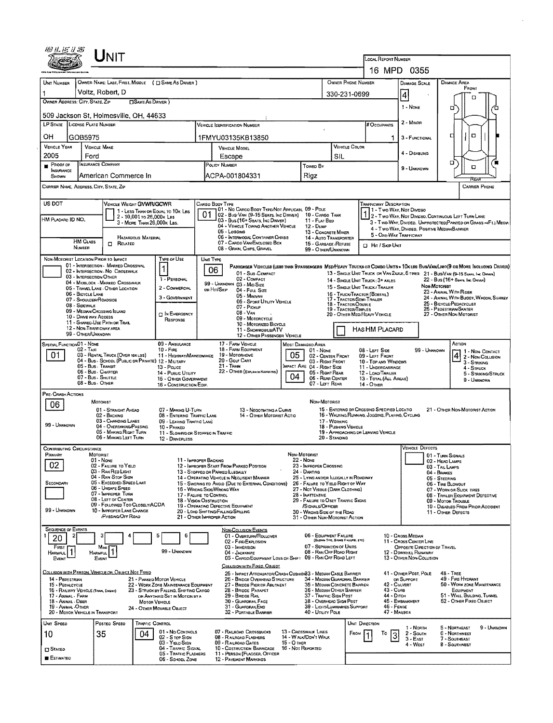|                                                                                                      | JNIT                                                                                                                                                                                                                                                                                                                                                                               |                                                                                                                                                                                                    |                                                                                                                                       |                                                                                                                                                                                                                                                                                                                                                                                                |                                  |                                                                                                                                                                                                                                                                                                                                     |                                                       |                                                                                                                                                                                                                                                                                                                        |                                                                                                                                                                                                                                                               |                                                                                                                                |                                                                                                                                                            |                                                                                                                        |                                       |
|------------------------------------------------------------------------------------------------------|------------------------------------------------------------------------------------------------------------------------------------------------------------------------------------------------------------------------------------------------------------------------------------------------------------------------------------------------------------------------------------|----------------------------------------------------------------------------------------------------------------------------------------------------------------------------------------------------|---------------------------------------------------------------------------------------------------------------------------------------|------------------------------------------------------------------------------------------------------------------------------------------------------------------------------------------------------------------------------------------------------------------------------------------------------------------------------------------------------------------------------------------------|----------------------------------|-------------------------------------------------------------------------------------------------------------------------------------------------------------------------------------------------------------------------------------------------------------------------------------------------------------------------------------|-------------------------------------------------------|------------------------------------------------------------------------------------------------------------------------------------------------------------------------------------------------------------------------------------------------------------------------------------------------------------------------|---------------------------------------------------------------------------------------------------------------------------------------------------------------------------------------------------------------------------------------------------------------|--------------------------------------------------------------------------------------------------------------------------------|------------------------------------------------------------------------------------------------------------------------------------------------------------|------------------------------------------------------------------------------------------------------------------------|---------------------------------------|
|                                                                                                      |                                                                                                                                                                                                                                                                                                                                                                                    |                                                                                                                                                                                                    |                                                                                                                                       |                                                                                                                                                                                                                                                                                                                                                                                                |                                  |                                                                                                                                                                                                                                                                                                                                     |                                                       | LOCAL REPORT NUMBER                                                                                                                                                                                                                                                                                                    |                                                                                                                                                                                                                                                               | 16 MPD 0355                                                                                                                    |                                                                                                                                                            |                                                                                                                        |                                       |
| UNIT NUMBER                                                                                          | OWNER NAME: LAST, FIRST, MIDDLE ( C SAME AS DRIVER )                                                                                                                                                                                                                                                                                                                               |                                                                                                                                                                                                    |                                                                                                                                       |                                                                                                                                                                                                                                                                                                                                                                                                |                                  |                                                                                                                                                                                                                                                                                                                                     |                                                       | OWNER PHONE NUMBER                                                                                                                                                                                                                                                                                                     |                                                                                                                                                                                                                                                               | <b>DAMAGE SCALE</b>                                                                                                            |                                                                                                                                                            | <b>DAMAGE AREA</b>                                                                                                     |                                       |
|                                                                                                      | Voltz, Robert, D                                                                                                                                                                                                                                                                                                                                                                   |                                                                                                                                                                                                    | 330-231-0699                                                                                                                          |                                                                                                                                                                                                                                                                                                                                                                                                |                                  |                                                                                                                                                                                                                                                                                                                                     |                                                       |                                                                                                                                                                                                                                                                                                                        |                                                                                                                                                                                                                                                               | $\vert 4 \vert$                                                                                                                |                                                                                                                                                            | FRONT                                                                                                                  |                                       |
| OWNER ADDRESS: CITY, STATE, ZIP                                                                      | <b>DSAME AS DRIVER</b> )                                                                                                                                                                                                                                                                                                                                                           |                                                                                                                                                                                                    |                                                                                                                                       |                                                                                                                                                                                                                                                                                                                                                                                                |                                  |                                                                                                                                                                                                                                                                                                                                     |                                                       |                                                                                                                                                                                                                                                                                                                        |                                                                                                                                                                                                                                                               | $1 - None$                                                                                                                     |                                                                                                                                                            | п                                                                                                                      |                                       |
|                                                                                                      | 509 Jackson St, Holmesville, OH, 44633                                                                                                                                                                                                                                                                                                                                             |                                                                                                                                                                                                    |                                                                                                                                       |                                                                                                                                                                                                                                                                                                                                                                                                |                                  |                                                                                                                                                                                                                                                                                                                                     |                                                       |                                                                                                                                                                                                                                                                                                                        |                                                                                                                                                                                                                                                               |                                                                                                                                | □                                                                                                                                                          |                                                                                                                        |                                       |
| LP STATE LICENSE PLATE NUMBER                                                                        |                                                                                                                                                                                                                                                                                                                                                                                    |                                                                                                                                                                                                    |                                                                                                                                       | Vericle Identification Number                                                                                                                                                                                                                                                                                                                                                                  |                                  |                                                                                                                                                                                                                                                                                                                                     |                                                       | <b># Occupants</b>                                                                                                                                                                                                                                                                                                     |                                                                                                                                                                                                                                                               | 2 - Minor                                                                                                                      |                                                                                                                                                            |                                                                                                                        |                                       |
| OH                                                                                                   | GOB5975                                                                                                                                                                                                                                                                                                                                                                            |                                                                                                                                                                                                    |                                                                                                                                       | 1FMYU03135KB13850                                                                                                                                                                                                                                                                                                                                                                              |                                  |                                                                                                                                                                                                                                                                                                                                     |                                                       |                                                                                                                                                                                                                                                                                                                        | 1                                                                                                                                                                                                                                                             | 3 - FUNCTIONAL                                                                                                                 | с                                                                                                                                                          | α                                                                                                                      |                                       |
| <b>VEHICLE YEAR</b>                                                                                  | <b>VEHICLE MAKE</b>                                                                                                                                                                                                                                                                                                                                                                |                                                                                                                                                                                                    | <b>VEHICLE MODEL</b>                                                                                                                  |                                                                                                                                                                                                                                                                                                                                                                                                |                                  | <b>VEHICLE COLOR</b>                                                                                                                                                                                                                                                                                                                |                                                       |                                                                                                                                                                                                                                                                                                                        | 4 - DISABLING                                                                                                                                                                                                                                                 |                                                                                                                                |                                                                                                                                                            |                                                                                                                        |                                       |
| 2005<br>PROOF OF                                                                                     | Ford<br><b>INSURANCE COMPANY</b>                                                                                                                                                                                                                                                                                                                                                   |                                                                                                                                                                                                    | Escape<br>POLICY NUMBER                                                                                                               |                                                                                                                                                                                                                                                                                                                                                                                                |                                  | SIL                                                                                                                                                                                                                                                                                                                                 |                                                       |                                                                                                                                                                                                                                                                                                                        |                                                                                                                                                                                                                                                               | о                                                                                                                              |                                                                                                                                                            |                                                                                                                        |                                       |
| <b>INSURANCE</b><br>SHOWN                                                                            | American Commerce In                                                                                                                                                                                                                                                                                                                                                               |                                                                                                                                                                                                    |                                                                                                                                       | ACPA-001804331                                                                                                                                                                                                                                                                                                                                                                                 |                                  | Towed By<br>Rigz                                                                                                                                                                                                                                                                                                                    |                                                       |                                                                                                                                                                                                                                                                                                                        |                                                                                                                                                                                                                                                               | 9 - UNKNOWN                                                                                                                    |                                                                                                                                                            | Ω                                                                                                                      |                                       |
|                                                                                                      | CARRIER NAME, ADDRESS, CITY, STATE, ZIP                                                                                                                                                                                                                                                                                                                                            |                                                                                                                                                                                                    |                                                                                                                                       |                                                                                                                                                                                                                                                                                                                                                                                                |                                  |                                                                                                                                                                                                                                                                                                                                     |                                                       |                                                                                                                                                                                                                                                                                                                        |                                                                                                                                                                                                                                                               |                                                                                                                                |                                                                                                                                                            | REAL<br><b>CARRIER PHONE</b>                                                                                           |                                       |
|                                                                                                      |                                                                                                                                                                                                                                                                                                                                                                                    |                                                                                                                                                                                                    |                                                                                                                                       |                                                                                                                                                                                                                                                                                                                                                                                                |                                  |                                                                                                                                                                                                                                                                                                                                     |                                                       |                                                                                                                                                                                                                                                                                                                        |                                                                                                                                                                                                                                                               |                                                                                                                                |                                                                                                                                                            |                                                                                                                        |                                       |
| US DOT<br>HM PLACARO ID NO.                                                                          | VEHICLE WEIGHT GVWR/GCWR<br>2 - 10,001 то 26,000к LBS<br>3 - MORE THAN 26,000K LBS.<br><b>HAZARDOUS MATERIAL</b>                                                                                                                                                                                                                                                                   | 1 - LESS THAN OR EQUAL TO 10K LBS                                                                                                                                                                  | Cargo Body Type<br>01                                                                                                                 | 01 - No Cargo Body Type/Not Applicabl 09 - Pole<br>02 - Bus/Van (9-15 Seats, Inc Driver) 10 - Cargo Tank<br>03 - Bus (16+ Seats, Inc DRIVER)<br>04 - VEHICLE TOWING ANOTHER VEHICLE<br>05 - Locomo<br>06 - INTERMODAL CONTAINER CHASIS                                                                                                                                                         |                                  | 11 - FLAT BED<br>$12 - D$ uMP<br>13 - CONCRETE MIXER                                                                                                                                                                                                                                                                                |                                                       |                                                                                                                                                                                                                                                                                                                        | <b>TRAFFICWAY DESCRIPTION</b><br>11 Two Way, Not Divideo<br>12 - Two-Way, Not Divideo, Continuous Left Turn Lane<br>3 - Two-WAY, DIVIDED, UNPROTECTED (PAINTED OR GRASS >4FT.) MEOW<br>4 - Two-Way, Divided. Positive MediaNBARRIER<br>5 - ONE-WAY TRAFFICWAY |                                                                                                                                |                                                                                                                                                            |                                                                                                                        |                                       |
|                                                                                                      | <b>HM CLASS</b><br>Ω.<br>RELATED<br>NUMBER                                                                                                                                                                                                                                                                                                                                         |                                                                                                                                                                                                    |                                                                                                                                       | 07 - CARGO VAN ENCLOSED BOX<br>08 - Gran, Chps, Gravel                                                                                                                                                                                                                                                                                                                                         |                                  | 14 - AUTO TRANSPORTER<br>15 - GARBAGE / REFUSE<br>99 - OTHER/UNKNOWN                                                                                                                                                                                                                                                                |                                                       | <b>D</b> Hit / Skip Unit                                                                                                                                                                                                                                                                                               |                                                                                                                                                                                                                                                               |                                                                                                                                |                                                                                                                                                            |                                                                                                                        |                                       |
|                                                                                                      | NON-MOTORIST LOCATION PRIOR TO IMPACT                                                                                                                                                                                                                                                                                                                                              | TYPE OF USE                                                                                                                                                                                        | UND TYPE                                                                                                                              |                                                                                                                                                                                                                                                                                                                                                                                                |                                  |                                                                                                                                                                                                                                                                                                                                     |                                                       |                                                                                                                                                                                                                                                                                                                        |                                                                                                                                                                                                                                                               |                                                                                                                                |                                                                                                                                                            |                                                                                                                        |                                       |
|                                                                                                      | 01 - INTERSECTION MARKED CROSSWAL<br>02 - INTERSECTION NO CROSSWALK<br>03 - INTERSECTION OTHER<br>04 - MIDBLOCK - MARKED CROSSWALK<br>05 - TRAVEL LANE - OTHER LOCATION<br>06 - BICYCLE LANE<br>07 - SHOULDER/ROADSIDE<br>08 - SIDEWALK<br>09 - MEDIAN/CROSSING ISLAND<br>10 - DRIVE WAY ACCESS<br>11 - SHARED-USE PATH OR TRAIL<br>12 - NON-TRAFFICWAY AREA<br>99 - OTHER/UNKNOWN | 1<br>1 - PERSONAL<br>2 - COMMERCIAL<br>3 - GOVERNMENT<br><b>DIN EMERGENCY</b><br>RESPONSE                                                                                                          | 06<br>or Hit/Skip                                                                                                                     | PASSENGER VEHICLES (LESS THAN 9 PASSENGERS MED/HEAVY TRUCKS OR COMBO UNITS > 10x LBS BUS/VAN/LMO(9 OR MORE INCLUDING DRIVER)<br>01 - Sub COMPACT<br>02 - COMPACT<br>99 - UNKNOWN 03 - Mid Size<br>04 - FULL SIZE<br>05 - MINIVAN<br>06 - Sport Uttury Vehicle<br>07 - Pickup<br>$08 - VAN$<br>09 - MOTORCYCLE<br>10 - MOTORIZED BICYCLE<br>11 - SNOWMOBILE/ATV<br>12 - OTHER PASSENGER VEHICLE |                                  |                                                                                                                                                                                                                                                                                                                                     |                                                       | 13 - SINGLE UNIT TRUCK OR VAN ZAXLE, 6 TRES 21 - BUS/VAN (9-15 SEATS, INC DRIVER)<br>14 - SINGLE UNIT TRUCK: 3+ AXLES<br>15 - SINGLE UNIT TRUCK / TRAILER<br>16 - TRUCK/TRACTOR (BOBTAL)<br>17 - TRACTOR/SEMI-TRAILER<br>18 - TRACTOR/DOUBLE<br>19 - TRACTOR/TRIPLES<br>20 - OTHER MEDIHEAVY VEHICLE<br>HAS HM PLACARD |                                                                                                                                                                                                                                                               |                                                                                                                                | <b><i><u>Мон-Мотовият</u></i></b><br>23 - ANMAL WITH RIDER<br>25 - BICYCLE/PEDACYCLIST<br>26 - PEDESTRIAN SKATER<br>27 - OTHER NON-MOTORIST                | 22 - Bus (16+ Sears, Inc Driver)                                                                                       | 24 - ANIMAL WITH BUGGY, WAGON, SURREY |
| SPECIAL FUNCTION 01 - NONE<br>01                                                                     | $02 - \text{Lx}$<br>03 - RENTAL TRUCK (OVER 10K LBS)<br>04 - Bus - SCHOOL (PUBLIC OR PRIVATE) 12 - MILITARY<br>05 - Bus - Transit<br>06 - Bus - CHARTER<br>07 - Bus - SHUTTLE<br>08 - Bus - OTHER                                                                                                                                                                                  | 09 - AMBULANCE<br>$10 -$ Figs.<br>11 - HIGHWAY/MAINTENANCE<br>13 - Pouce<br>14 - Pusuc UTILITY<br>15 - OTHER GOVERNMENT<br>16 - CONSTRUCTION EQIP.                                                 |                                                                                                                                       | 17 - FARM VEHICLE<br>18 - FARM EQUIPMENT<br>19 - MOTORHOME<br>20 - Golf Cart<br>$21 -$ TRAIN<br>22 - OTHER (EXPLAN IN NARRATIVE)                                                                                                                                                                                                                                                               | 05<br>04                         | MOST DAMAGED AREA<br>$01 - None$<br>02 - CENTER FRONT<br>03 - RIGHT FRONT<br>MPACT ARE 04 - RIGHT SIDE<br>05 - RIGHT REAR<br>06 - REAR CENTER<br>07 - Left Rear                                                                                                                                                                     |                                                       | 08 - LEFT SIDE<br>09 - LEFT FRONT<br>10 - Top and Windows<br>11 - UNDERCARRIAGE<br>12 - LOAD/TRAILER<br>13 - TOTAL (ALL AREAS)<br>$14 -$ Other                                                                                                                                                                         |                                                                                                                                                                                                                                                               | 99 - Unknown                                                                                                                   |                                                                                                                                                            | ACTION<br>$\frac{1}{4}$ - Non-Contact<br>$\frac{2}{3}$ - Non-Collision<br>3 - Striking<br>4 - Struck<br>9 - UNKNOWN    | 5 - STRIKING/STRUCK                   |
| PRE-CRASH ACTIONS                                                                                    | MOTORIST                                                                                                                                                                                                                                                                                                                                                                           |                                                                                                                                                                                                    |                                                                                                                                       |                                                                                                                                                                                                                                                                                                                                                                                                |                                  | Non-Motorist                                                                                                                                                                                                                                                                                                                        |                                                       |                                                                                                                                                                                                                                                                                                                        |                                                                                                                                                                                                                                                               |                                                                                                                                |                                                                                                                                                            |                                                                                                                        |                                       |
| 06<br>99 - UNKNOWN                                                                                   | 01 - STRAIGHT AHEAD<br>02 - BACKING<br>03 - CHANGING LANES<br>04 - OVERTAKING/PASSING<br>05 - MAKING RIGHT TURN<br>06 - MAKING LEFT TURN                                                                                                                                                                                                                                           | 07 - MAKING U-TURN<br>08 - ENTERING TRAFFIC LANE<br>09 - LEAVING TRAFFIC LANÉ<br>10 - PARKED<br>11 - Slowing or Stopped in Traffic                                                                 |                                                                                                                                       | 13 - Negotiating a Curve<br>14 - OTHER MOTORIST ACTIO                                                                                                                                                                                                                                                                                                                                          |                                  |                                                                                                                                                                                                                                                                                                                                     | 17 - WORKING<br>18 - Pushing Vehicle<br>20 - Standing | 15 - ENTERING OR CROSSING SPECIFIED LOCATIO<br>16 - WALKING RUNNING, JOGGING, PLAYING, CYCLING<br>19 - APPROACHING OR LEAVING VEHICLE                                                                                                                                                                                  |                                                                                                                                                                                                                                                               |                                                                                                                                |                                                                                                                                                            | 21 - OTHER NON-MOTORIST ACTION                                                                                         |                                       |
| <b>CONTRIBUTING CIRCUMSTANCE</b>                                                                     |                                                                                                                                                                                                                                                                                                                                                                                    | 12 - DRIVERLESS                                                                                                                                                                                    |                                                                                                                                       |                                                                                                                                                                                                                                                                                                                                                                                                |                                  |                                                                                                                                                                                                                                                                                                                                     |                                                       |                                                                                                                                                                                                                                                                                                                        |                                                                                                                                                                                                                                                               | <b>VEHICLE DEFECTS</b>                                                                                                         |                                                                                                                                                            |                                                                                                                        |                                       |
| PHIMARY<br>02<br>SECONDARY<br>99 - UNKNOWN                                                           | MOTORIST<br>$01 - None$<br>02 - FAILURE TO YIELD<br>03 - RAN RED LIGHT<br>04 - Ran Stop Sign<br>05 - Exceeded Speed Limit<br>06 - Unsafe Speed<br>07 - Improper Turn<br>08 - LEFT OF CENTER<br>09 - FOLLOWED TOO CLOSELY/ACDA<br>10 - IMPROPER LANE CHANGE<br>/PASSING/OFF ROAD                                                                                                    |                                                                                                                                                                                                    | 11 - IMPROPER BACKING<br>16 - WRONG SIDE/WRONG WAY<br>17 - FALURE TO CONTROL<br>18 - VISION OBSTRUCTION<br>21 - OTHER IMPROPER ACTION | 12 - IMPROPER START FROM PARKED POSITION<br>13 - STOPPEO OR PARKED LLEGALLY<br>14 - OPERATING VEHICLE IN NEGLIGENT MANNER<br>15 - Swering to Avoid (Due to External Conditions)<br>19 - OPERATING DEFECTIVE EQUIPMENT<br>20 - LOAD SHIFTING/FALLING/SPILLING                                                                                                                                   |                                  | Non-Motorist<br>22 - NONE<br>23 - IMPROPER CROSSING<br>24 - DARTING<br>25 - LYING AND/OR LLEGALLY IN ROADWAY<br>26 - FALURE TO YIELD RIGHT OF WAY<br>27 - NOT VISIBLE (DARK CLOTHING)<br>28 - INATTENTIVE<br>29 - FAQURE TO OBEY TRAFFIC SIGNS<br>/SIGNALS/OFFICER<br>30 - WRONG SIDE OF THE ROAD<br>31 - OTHER NON-MOTORIST ACTION |                                                       |                                                                                                                                                                                                                                                                                                                        |                                                                                                                                                                                                                                                               |                                                                                                                                | 01 - TURN SIGNALS<br>02 - HEAD LAMPS<br>03 - TAIL LAMPS<br>$04 -$ Brakes<br>05 - Steering<br>06 - TIRE BLOWOUT<br>09 - MOTOR TROUBLE<br>11 - OTHER DEFECTS | 07 - WORN OR SLICK TIRES<br>08 - TRAILER EQUIPMENT DEFECTIVE<br>10 - DISABLEO FROM PRIOR ACCIDENT                      |                                       |
| <b>SEQUENCE OF EVENTS</b><br>20<br>FIRST<br>Harmful.<br>EVENT                                        | Most<br><b>HARMFUL</b><br>EVENT                                                                                                                                                                                                                                                                                                                                                    | 5<br>6<br>99 - UNKNOWN                                                                                                                                                                             |                                                                                                                                       | <b>NON-COLLISION EVENTS</b><br>01 - OVERTURN/ROLLOVER<br>02 - FIRE/EXPLOSION<br>03 - IMMERSION<br>04 - JACKKNIFE<br>05 - CARGO/EQUIPMENT LOSS OR SHIFT 09 - RAN OFF ROAD LEFT<br>COLLISION WITH FIXED, OBJECT                                                                                                                                                                                  |                                  | 06 - EDUIPMENT FAILURE<br>07 - SEPARATION OF UNITS<br>08 - RAN OFF ROAD RIGHT                                                                                                                                                                                                                                                       | (BLOWN TIRE, BRANZ FARUFIE, ETC)                      |                                                                                                                                                                                                                                                                                                                        |                                                                                                                                                                                                                                                               | 10 - Cross Median<br>11 - Cross Center Line<br>OPPOSITE DIRECTION OF TRAVEL<br>12 - DOWNHEL RUNAWAY<br>13 - OTHER NON-COLUSION |                                                                                                                                                            |                                                                                                                        |                                       |
| 14 - PEDESTRIAN<br>15 - PEDALCYCLE<br>17 - ANIMAL - FARM<br>18 - Animal - Deer<br>19 - ANIMAL -OTHER | COLLISION WITH PERSON, VEHICLE OR OBJECT NOT FIXED<br>16 - RAILWAY VEHICLE (TRAM, ENGINE)<br>20 - MOTOR VEHICLE IN TRANSPORT                                                                                                                                                                                                                                                       | 21 - PARKED MOTOR VEHICLE<br>22 - WORK ZONE MAINTENANCE EQUIPMENT<br>23 - STRUCK BY FALLING, SHIFTING CARGO<br>OR ANYTHING SET IN MOTION BY A<br><b>MOTOR VEHICLE</b><br>24 - OTHER MOVABLE OBJECT |                                                                                                                                       | 25 - IMPACT ATTENUATOR/CRASH CUSHION33 - MEDIAN CABLE BARRIER<br>26 - BRIDGE OVERHEAD STRUCTURE<br>27 - BRIDGE PIER DR ABUTMENT<br>28 - BRIDGE PARAPET<br>29 - BRDGE RAIL<br>30 - GUARDRAIL FACE<br>31 - GUARDRAILEND<br>32 - PORTABLE BARRIER                                                                                                                                                 |                                  | 34 - MEDIAN GUARDRAIL BARRIER<br>35 - MEDWN CONCRETE BARRIER<br>36 - Median Other Barrier<br>37 - TRAFFIC SIGN POST<br>38 - OVERHEAD SIGN POST<br>39 - LIGHT/LUMINARIES SUPPORT<br>40 - UTILITY POLE                                                                                                                                |                                                       |                                                                                                                                                                                                                                                                                                                        | 42 - CULVERT<br>$43 - C$ uRB<br>44 - Ditch<br>46 - FENCE<br>47 - MAILBOX                                                                                                                                                                                      | 41 - OTHER POST, POLE<br>or Support<br>45 - EMBANKMENT                                                                         | $48 -$ TREE                                                                                                                                                | 49 - FIRE HYDRANT<br>50 - WORK ZONE MAINTENANCE<br>EQUIPMENT<br>51 - WALL, BUILDING, TUNNEL<br>52 - OTHER FIXED OBJECT |                                       |
| UNIT SPEED<br>10<br><b>CI STATED</b><br><b>ESTIMATED</b>                                             | Posteo Speso<br>35<br>04                                                                                                                                                                                                                                                                                                                                                           | TRAFFIC CONTROL<br>01 - No CONTROLS<br>02 - S top Sign<br>03 - YIELD SIGN<br>04 - TRAFFIC SIGNAL<br>05 - TRAFFIC FLASHERS<br>06 - School Zone                                                      |                                                                                                                                       | 07 - RAILROAD CROSSBUCKS<br>08 - RAILROAD FLASHERS<br>09 - RAILROAD GATES<br>10 - Costruction Barricade<br>11 - PERSON (FLAGGER, OFFICER<br><b>12 - PAVEMENT MARKINGS</b>                                                                                                                                                                                                                      | 15 - О тнев<br>16 - Not Reported | 13 - CROSSWALK LINES<br>14 - WALK/DON'T WALK                                                                                                                                                                                                                                                                                        |                                                       | UNIT DIRECTION<br>FROM                                                                                                                                                                                                                                                                                                 | То<br>3                                                                                                                                                                                                                                                       | 1 - North<br>2 - South<br>$3 - E$ AST<br>4 - West                                                                              |                                                                                                                                                            | 5 - NORTHEAST<br>6 - NORTHWEST<br>7 - SOUTHEAST<br>8 - Southwest                                                       | 9 - UNKNOWN                           |

 $\mathcal{A}^{\mathcal{A}}$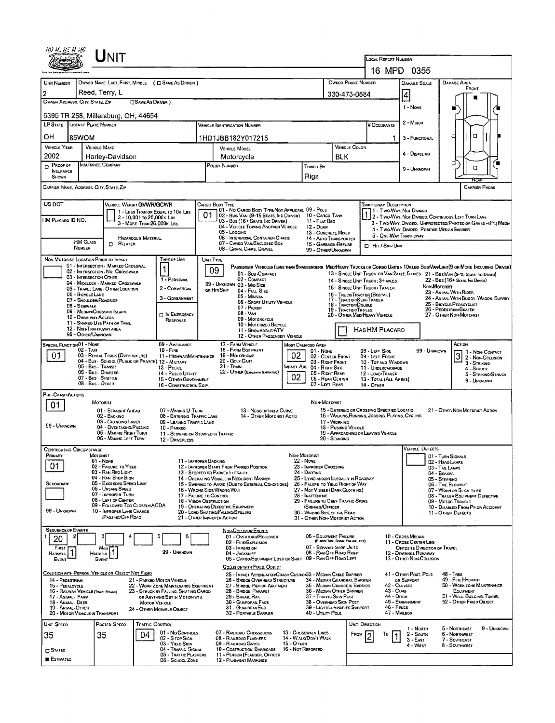| 70) V. X. X X X                          |                                                                                            | ${\sf UnIT}$                                                                            |                           |                                                                                |                             |                                                                                                                                           |                                  |                                                                              |                                  |                                                                                  |                                                  |                                                       |                                      |                                                                                                                        |                     |
|------------------------------------------|--------------------------------------------------------------------------------------------|-----------------------------------------------------------------------------------------|---------------------------|--------------------------------------------------------------------------------|-----------------------------|-------------------------------------------------------------------------------------------------------------------------------------------|----------------------------------|------------------------------------------------------------------------------|----------------------------------|----------------------------------------------------------------------------------|--------------------------------------------------|-------------------------------------------------------|--------------------------------------|------------------------------------------------------------------------------------------------------------------------|---------------------|
|                                          |                                                                                            |                                                                                         |                           |                                                                                |                             |                                                                                                                                           |                                  |                                                                              |                                  |                                                                                  | LOCAL REPORT NUMBER                              | 16 MPD 0355                                           |                                      |                                                                                                                        |                     |
| <b>UNIT NUMBER</b>                       |                                                                                            | OWNER NAME: LAST, FIRST, MIODLE ( C SAME AS DRIVER )                                    |                           |                                                                                |                             |                                                                                                                                           |                                  |                                                                              |                                  | OWNER PHONE NUMBER                                                               |                                                  | <b>DAMAGE SCALE</b>                                   |                                      | DAMAGE AREA                                                                                                            |                     |
| $\overline{2}$                           |                                                                                            | Reed, Terry, L                                                                          |                           |                                                                                |                             |                                                                                                                                           |                                  |                                                                              | 330-473-0584                     |                                                                                  |                                                  |                                                       |                                      | FRONT                                                                                                                  |                     |
|                                          | OWNER ADDRESS: CITY, STATE, ZIP<br><b>CISAME AS DRIVER</b> )                               |                                                                                         |                           |                                                                                |                             |                                                                                                                                           |                                  |                                                                              |                                  |                                                                                  |                                                  | $\vert 4$                                             |                                      |                                                                                                                        |                     |
|                                          |                                                                                            | 5395 TR 258, Millersburg, OH, 44654                                                     |                           |                                                                                |                             |                                                                                                                                           |                                  |                                                                              |                                  |                                                                                  |                                                  | 1 - None                                              |                                      |                                                                                                                        |                     |
|                                          | <b>LP STATE</b> LICENSE PLATE NUMBER<br># Occupants<br><b>VEHICLE OENTIFICATION NUMBER</b> |                                                                                         |                           |                                                                                |                             |                                                                                                                                           |                                  |                                                                              |                                  |                                                                                  |                                                  | 2 - MINOR                                             |                                      |                                                                                                                        |                     |
| он                                       | 85WOM                                                                                      |                                                                                         |                           |                                                                                |                             | 1HD1JBB182Y017215                                                                                                                         |                                  |                                                                              |                                  |                                                                                  | 1                                                | 3 - FUNCTIONAL                                        |                                      | □                                                                                                                      |                     |
| <b>VEHICLE YEAR</b>                      |                                                                                            | <b>VEHICLE MAKE</b>                                                                     |                           |                                                                                | <b>VEHICLE MODEL</b>        |                                                                                                                                           |                                  |                                                                              |                                  | VEHICLE COLOR                                                                    |                                                  | 4 - DISABLING                                         |                                      |                                                                                                                        |                     |
| 2002<br>$D$ Proof of                     |                                                                                            | Harley-Davidson<br>INSURANCE COMPANY                                                    |                           |                                                                                | Motorcycle<br>POLICY NUMBER |                                                                                                                                           |                                  |                                                                              | BLK                              |                                                                                  |                                                  |                                                       |                                      | ο                                                                                                                      |                     |
| INSURANCE<br>SHOWN                       |                                                                                            |                                                                                         |                           |                                                                                |                             |                                                                                                                                           |                                  | <b>TOWED BY</b><br>Rigz                                                      |                                  |                                                                                  |                                                  | 9 - Unknown                                           |                                      | O                                                                                                                      |                     |
|                                          |                                                                                            | CARRIER NAME, ADDRESS, CITY, STATE, ZIP                                                 |                           |                                                                                |                             |                                                                                                                                           |                                  |                                                                              |                                  |                                                                                  |                                                  |                                                       |                                      | <b>CARRIER PHONE</b>                                                                                                   |                     |
| US DOT                                   |                                                                                            | VEHICLE WEIGHT GVWR/GCWR                                                                |                           |                                                                                |                             | CARGO BODY TYPE                                                                                                                           |                                  |                                                                              |                                  |                                                                                  | <b>TRAFFICWAY DESCRIPTION</b>                    |                                                       |                                      |                                                                                                                        |                     |
| HM Placaro ID NO.                        |                                                                                            |                                                                                         | 2 - 10,001 to 26,000x Las | 1 - LESS THAN OR EQUAL TO 10K LBS                                              | 01                          | 01 - No CARGO BOOY TYPE/NOT APPLICABL 09 - POLE<br>02 - Busi Van (9-15 Seats, Inc Driver)<br>03 - Bus (16+ Seats, Inc DRIVER)             |                                  | 10 - CARGO TANK<br>11 - FLAT BED                                             |                                  |                                                                                  |                                                  | 11 - Two Way, Not Divided                             |                                      | 2 - T WO-WAY, NOT DIVIDED, CONTINUOUS LEFT TURN LANE                                                                   |                     |
|                                          |                                                                                            |                                                                                         | 3 MORE THAN 26,000K LBS.  |                                                                                |                             | 04 - VEHICLE TOWING ANOTHER VEHICLE<br>05 - Logging                                                                                       |                                  | 12 - Duse<br>13 - CONCRETE MIXER                                             |                                  |                                                                                  |                                                  | 4 - Two-WAY, DIVIDED, POSITIVE MEDIAN BARRIER         |                                      | 3 - Two-Way, Divided, Unprotected(Painted or Grass +4Ft.) Media                                                        |                     |
|                                          | <b>HM CLASS</b>                                                                            | RELATED<br>0                                                                            | HAZARDOUS MATERIAL        |                                                                                |                             | 06 - INTERMODAL CONTAINER CHASIS<br>07 - CARGO VAN ENCLOSED BOX                                                                           |                                  | 14 - AUTO TRANSPORTER<br>15 - GARBAGE / REFUSE                               |                                  |                                                                                  | 5 - ONE-WAY TRAFFICWAY                           |                                                       |                                      |                                                                                                                        |                     |
|                                          | NUMBER                                                                                     |                                                                                         |                           |                                                                                |                             | 08 - GRAIN, CHIPS, GRAVEL                                                                                                                 |                                  | 99 - OTHER/UNKNOWN                                                           |                                  |                                                                                  | <b>D</b> Hrt / Skie Unit                         |                                                       |                                      |                                                                                                                        |                     |
|                                          |                                                                                            | NON-MOTORIST LOCATION PRIOR TO IMPACT<br>01 - INTERSECTION - MARKED CROSSWAL            |                           | TYPE OF USE                                                                    |                             | UNIT TYPE<br>PASSENGER VEHICLES (LESS THAN 9 PASSENGERS MEDIMEAVY TRUCKS OR COMSO UNITS > 10KLBS BUS/VAN/LIMO(9 OR MORE INCLUDING DRIVER) |                                  |                                                                              |                                  |                                                                                  |                                                  |                                                       |                                      |                                                                                                                        |                     |
|                                          |                                                                                            | 02 - INTERSECTION - NO CROSSWALK<br>03 - INTERSECTION OTHER                             |                           | 1<br>1 - PERSONAL                                                              |                             | 09<br>01 - Sub-COMPACT<br>02 - COMPACT                                                                                                    |                                  |                                                                              |                                  |                                                                                  |                                                  |                                                       |                                      | 13 - SINGLE UNIT TRUCK OR VAN ZAXLE, 6 TIRES 21 - BUS/VAN (9-15 SEARS, THC DRIVER)<br>22 - Bus (16+ Sears, Ive Driver) |                     |
|                                          |                                                                                            | 04 - MIDBLOCK - MARKED CROSSWALK<br>05 - TRAVEL LANE - OTHER LOCATION                   |                           | 2 - COMMERCIAL                                                                 |                             | 99 - UNKNOWN 03 - MID SIZE<br>on Hm/Skip<br>04 - Fuu Size                                                                                 |                                  |                                                                              |                                  | 15 - SINGLE UNIT TRUCK / TRALER                                                  | 14 - SINGLE UNIT TRUCK: 3+ AXLES                 |                                                       | Non-Mororist                         | 23 - ANIMAL WITH RIDER                                                                                                 |                     |
|                                          | 06 - BICYCLE LANE                                                                          | 07 - Shoulder/Roadside                                                                  |                           | 3 - GOVERNMENT                                                                 |                             | 05 - MINIVAN<br>06 - SPORT UTILITY VEHICLE                                                                                                |                                  |                                                                              |                                  | 16 - TRUCK/TRACTOR (BOSTAIL)<br>17 - TRACTOR/SEMI-TRAILER<br>18 - TRACTOR/DOUBLE |                                                  |                                                       |                                      | 24 - ANIMAL WITH BUGGY, WAGON, SURREY<br>25 - BICYCLE/PEDACYCLIST                                                      |                     |
|                                          | 08 - Sidewalk                                                                              | 09 - MEDIAN/CROSSING ISLAND                                                             |                           | <b>IT IN EMERGENCY</b>                                                         |                             | 07 - Pickup<br>$08 - V_{AN}$                                                                                                              |                                  |                                                                              |                                  | 19 - TRACTOR/TRIPLES<br>20 - Other Med/Heavy Vehicle                             |                                                  |                                                       |                                      | 26 - PEDESTRIAN/SKATER<br>27 - OTHER NON-MOTORIST                                                                      |                     |
|                                          | 10 - DRME WAY ACCESS                                                                       | 11 - SHAREO USE PATH OR TRAIL<br>12 - NON-TRAFFICWAY AREA                               |                           | RESPONSE                                                                       |                             | 09 - MOTORCYCLE<br>10 - Motorizeo Bicycle                                                                                                 |                                  |                                                                              |                                  |                                                                                  |                                                  |                                                       |                                      |                                                                                                                        |                     |
|                                          | 99 - OTHER/UNKNOWN                                                                         |                                                                                         |                           |                                                                                |                             | 11 - SNOWMOBLE/ATV<br>12 - OTHER PASSENGER VEHICLE                                                                                        |                                  |                                                                              |                                  |                                                                                  | <b>HAS HM PLACARD</b>                            |                                                       |                                      |                                                                                                                        |                     |
| SPECIAL FUNCTION 01 - NONE               | 02 - Taxi                                                                                  |                                                                                         |                           | 09 - AMBULANCE<br>$10 -$ Fire                                                  |                             | 17 - FARM VEHICLE<br>18 - FARM EQUIPMENT                                                                                                  |                                  | Most Damaged Area<br>$01 - None$                                             |                                  |                                                                                  | 08 - LEFT SIDE                                   |                                                       | 99 - Unknown                         | ACTION                                                                                                                 | 1 - Non CONTACT     |
| 01                                       |                                                                                            | 03 - RENTAL TRUCK (OVER 10X LBS)<br>04 - Bus - School (Public or Private) 12 - Military |                           | 11 - HIGHWAY/MAINTENANCE                                                       |                             | 19 - MOTORHOME<br>20 - Golf Cart                                                                                                          | 02                               | 02 - CENTER FRONT<br>03 - RIGHT FRONT                                        |                                  |                                                                                  | 09 - LEFT FRONT<br>10 - TOP AND WINDOWS          |                                                       |                                      | 3 2 - Non-Collision<br>3 - STRIKING                                                                                    |                     |
|                                          |                                                                                            | 05 - Bus - Transit<br>06 - Bus - CHARTER                                                |                           | 13 - Police<br>14 - PUBLIC UTILITY                                             |                             | 21 - Tran<br>22 - OTHER (EXPLAN IN NARRATIVE)                                                                                             | 02                               | MPACT ARE 04 - RIGHT SIDE<br>05 - RIGHT REAR                                 |                                  |                                                                                  | 11 - UNDERCARRIAGE<br>12 - LOAD/TRAILER          |                                                       |                                      | 4 - Struck                                                                                                             | 5 - STRIKING/STAUCK |
|                                          |                                                                                            | 07 - Bus - SHUTTLE<br>08 - Bus. OTHER                                                   |                           | 15 - OTHER GOVERNMENT<br>16 - CONSTRUCTION EQIP.                               |                             |                                                                                                                                           |                                  | 06 - REAR CENTER<br>07 - LEFT REAR                                           |                                  | $14 -$ OTHER                                                                     | 13 - TOTAL (ALL AREAS)                           |                                                       |                                      | 9 - UNKNOWN                                                                                                            |                     |
| PRE- CRASH ACTIONS                       |                                                                                            |                                                                                         |                           |                                                                                |                             |                                                                                                                                           |                                  |                                                                              |                                  |                                                                                  |                                                  |                                                       |                                      |                                                                                                                        |                     |
| 01                                       |                                                                                            | MOTORIST<br>01 - STRAIGHT AHEAD                                                         |                           | 07 - MAKING U-TURN                                                             |                             | 13 - Negotiating a Curve                                                                                                                  |                                  | NON-MOTORIST                                                                 |                                  |                                                                                  | 15 - ENTERING OR CROSSING SPECIFIED LOCATIO      |                                                       |                                      | 21 - OTHER NON-MOTORIST ACTION                                                                                         |                     |
| 99 - UNKNOWN                             |                                                                                            | 02 - BACKING<br>03 - CHANGING LANES                                                     |                           | 08 - ENTERING TRAFFIC LANE<br>09 - LEAVING TRAFFIC LANE                        |                             | 14 - OTHER MOTORIST ACTIO                                                                                                                 |                                  |                                                                              | 17 - WORKING                     |                                                                                  | 16 - WALKING, RUNNING, JOGGING, PLAYING, CYCLING |                                                       |                                      |                                                                                                                        |                     |
|                                          |                                                                                            | 04 - OVERTAKING/PASSING<br>05 - MAKING RIGHT TURN                                       |                           | 10 - PARKED<br>11 - SLOWING OR STOPPED IN TRAFFIC                              |                             |                                                                                                                                           |                                  |                                                                              | 18 - PUSHING VEHICLE             |                                                                                  | 19 - APPROACHING OR LEAVING VEHICLE              |                                                       |                                      |                                                                                                                        |                     |
| <b>CONTRIBUTING CIRCUMSTANCE</b>         |                                                                                            | 06 - MAKING LEFT TURN                                                                   |                           | 12 - DRIVERLESS                                                                |                             |                                                                                                                                           |                                  |                                                                              | 20 - Standing                    |                                                                                  |                                                  | <b>VEHICLE DEFECTS</b>                                |                                      |                                                                                                                        |                     |
| PRIMARY                                  |                                                                                            | MOTORIST<br>01 - None                                                                   |                           | 11 - IMPROPER BACKING                                                          |                             |                                                                                                                                           |                                  | NON-MOTORIST<br><b>22 - NONE</b>                                             |                                  |                                                                                  |                                                  |                                                       | 01 - TURN SIGNALS<br>02 - HEAD LAMPS |                                                                                                                        |                     |
| 01                                       |                                                                                            | 02 - FAILURE TO YIELD<br>03 - RAN REO LIGHT                                             |                           |                                                                                |                             | 12 - IMPROPER START FROM PARKED POSITION<br>13 - STOPPEO OR PARKED ILLEGALLY                                                              |                                  | 23 - IMPROPER CROSSING<br>24 - DARTING                                       |                                  |                                                                                  |                                                  |                                                       | 03 - TAIL LAMPS<br>04 - BRAKES       |                                                                                                                        |                     |
| SECONDARY                                |                                                                                            | 04 - RAN STOP SIGN<br>05 - Excesoed Speed Limit                                         |                           |                                                                                |                             | 14 - OPERATING VEHICLE IN NEGLIGENT MANNER<br>15 - SWERING TO AVOID (DUE TO EXTERNAL CONDITIONS)                                          |                                  | 25 - LYING ANDIOR ILLEGALLY IN FLOADWAY<br>26 - FALURE TO YIELD RIGHT OF WAY |                                  |                                                                                  |                                                  |                                                       | 05 - STEERING<br>06 - TIRE BLOWOUT   |                                                                                                                        |                     |
|                                          |                                                                                            | 06 - UNSAFE SPEED<br>07 - IMPROPER TURN                                                 |                           |                                                                                |                             | 16 - WRONG SIDE/WRONG WAY<br>17 - FALURE TO CONTROL                                                                                       |                                  | 27 - NOT VISIBLE (DARK CLOTHING)<br>28 - INATTENTIVE                         |                                  |                                                                                  |                                                  |                                                       |                                      | 07 - WORN OR SLICK TIRES<br>08 - TRAILER EQUIPMENT DEFECTIVE                                                           |                     |
|                                          |                                                                                            | 08 - LEFT OF CENTER<br>09 - FOLLOWED TOO CLOSELY/ACDA                                   |                           |                                                                                |                             | 18 - VISION OBSTRUCTION<br>19 - OPERATING DEFECTIVE EQUIPMENT                                                                             |                                  | 29 - FAILURE TO OBEY TRAFFIC SIGNS<br>/SIGNALS/OFFICER                       |                                  |                                                                                  |                                                  |                                                       |                                      | 09 - MOTOR TROUBLE<br>10 - DISABLED FROM PRIOR ACCIDENT                                                                |                     |
| 99 - UNKNOWN                             |                                                                                            | 10 - IMPROPER LANE CHANGE<br><b>/Passing/OFF ROAD</b>                                   |                           |                                                                                |                             | 20 - LOAD SHIFTING/FALLING/SPILLING<br>21 - OTHER IMPROPER ACTION                                                                         |                                  | 30 - WRONG SIDE OF THE ROAD<br>31 - OTHER NON-MOTORIST ACTION                |                                  |                                                                                  |                                                  |                                                       |                                      | 11 - OTHER DEFECTS                                                                                                     |                     |
| <b>SEQUENCE OF EVENTS</b>                |                                                                                            |                                                                                         |                           |                                                                                |                             | NON-COLLISION EVENTS                                                                                                                      |                                  |                                                                              |                                  |                                                                                  |                                                  |                                                       |                                      |                                                                                                                        |                     |
| 20                                       | 2                                                                                          |                                                                                         |                           | 6                                                                              |                             | 01 - OVERTURN/ROLLOVER<br>02 - FIRE/EXPLOSION                                                                                             |                                  | 06 - EQUIPMENT FAILURE                                                       | (BLOWN TIRE, BRAKE FAILURE, ETC) |                                                                                  |                                                  | 10 - Cross Median<br>11 - Cross Center Line           |                                      |                                                                                                                        |                     |
| FIRST<br><b>Harmful</b>                  |                                                                                            | Mast<br><b>HARMFUL</b>                                                                  |                           | 99 - Unknown                                                                   |                             | 03 - IMMERSION<br>04 - JACKKNIFE                                                                                                          |                                  | 07 - SEPARATION OF UNITS<br>08 - RAN OFF ROAD RIGHT                          |                                  |                                                                                  |                                                  | OPPOSITE DIRECTION OF TRAVEL<br>12 - DOWNHILL RUNAWAY |                                      |                                                                                                                        |                     |
| Event                                    |                                                                                            | EVENT                                                                                   |                           |                                                                                |                             | 05 - CARGO/EQUIPMENT LOSS OR SHIFT 09 - RAN OFF ROAD LEFT<br>COLLISION WITH FIXED, OBJECT                                                 |                                  |                                                                              |                                  |                                                                                  |                                                  | 13 - OTHER NON-COLLISION                              |                                      |                                                                                                                        |                     |
| 14 - PEDESTRIAN                          |                                                                                            | COLLISION WITH PERSON, VEHICLE OR OBJECT NOT FIXED                                      |                           | 21 - PARKEO MOTOR VEHICLE                                                      |                             | 25 - IMPACT ATTENUATOR/CRASH CUSHION33 - MEDWN CABLE BARRIER<br>26 - BRIDGE OVERHEAD STRUCTURE                                            |                                  | 34 - MEDIAN GUARDRAIL BARRIER                                                |                                  |                                                                                  |                                                  | 41 - OTHER POST, POLE<br>OR SUPPORT                   |                                      | <b>48 - TREE</b><br>49 - FIRE HYDRANT                                                                                  |                     |
| 15 - PEDALCYCLE                          |                                                                                            | 16 - RAILWAY VEHICLE (THAIR, ENGINE)                                                    |                           | 22 - WORK ZONE MAINTENANCE EQUIPMENT<br>23 - STRUCK BY FALLING, SHIFTING CARGO |                             | 27 - BRIDGE PIER OR ABUTMENT<br>28 - BROGE PARAPET                                                                                        |                                  | 35 - MEDIAN CONCRETE BARRIER<br>36 - MEDWN OTHER BARRIER                     |                                  |                                                                                  | 42 - Culvert<br>43 - CURS                        |                                                       |                                      | 50 - WORK ZONE MAINTENANCE<br>EQUIPMENT                                                                                |                     |
| 17 - ANIMAL - FARM<br>18 - Animal - Deer |                                                                                            |                                                                                         | <b>MOTOR VEHICLE</b>      | OR ANYTHING SET IN MOTION BY A                                                 |                             | 29 - BRIDGE RAIL<br>30 - GUARDRAIL FACE                                                                                                   |                                  | 37 - TRAFFIC SIGN POST<br>38 - OVERHEAD SIGN POST                            |                                  |                                                                                  | 44 - Опси                                        | 45 - EMBANKMENT                                       |                                      | 51 - WALL, BUILDING, TUNNEL<br>52 - OTHER FIXED OBJECT                                                                 |                     |
| 19 - ANIMAL-OTHER                        |                                                                                            | 20 - MOTOR VEHICLE IN TRANSPORT                                                         |                           | 24 - OTHER MOVABLE OBJECT                                                      |                             | 31 - GUARDRAR END<br>32 - PORTABLE BARRIER                                                                                                |                                  | 39 - LIGHT/LUMINARIES SUPPORT<br>40 - UTILITY POLE                           |                                  |                                                                                  | 46 - FENCE<br>47 - MAILBOX                       |                                                       |                                      |                                                                                                                        |                     |
| UNIT SPEED                               |                                                                                            | POSTED SPEED                                                                            | <b>TRAFFIC CONTROL</b>    |                                                                                |                             |                                                                                                                                           |                                  |                                                                              |                                  | UNIT DIRECTION                                                                   |                                                  | 1 - North                                             |                                      | 5 - Northeast                                                                                                          | 9 - Unknown         |
| 35                                       |                                                                                            | 35                                                                                      | 04                        | 01 - No CONTROLS<br>02 - S TOP SIGN                                            |                             | 07 - RAILRDAD CROSSBUCKS<br>08 - RAILROAD FLASHERS                                                                                        |                                  | 13 - CROSSWALK LINES<br>14 - WALK/DON'T WALK                                 |                                  | FROM                                                                             | То                                               | 2 - Soum<br>$3 - EAST$                                |                                      | 6 - NORTHWEST<br>7 - SOUTHEAST                                                                                         |                     |
| $\square$ Stateo                         |                                                                                            |                                                                                         |                           | 03 - Yielo Srgn<br>04 - TRAFFIC SIGNAL                                         |                             | 09 - RALRDAD GATES<br>10 - COSTRUCTION BARRICADE                                                                                          | 15 - О тиея<br>16 - Not Reported |                                                                              |                                  |                                                                                  |                                                  | 4 - WEST                                              |                                      | 8 - Southwest                                                                                                          |                     |
| ESTIMATED                                |                                                                                            |                                                                                         |                           | 05 - TRAFFIC FLASHERS<br>06 - SCHOOL ZONE                                      |                             | 11 - PERSON (FLAGGER, OFFICER<br>12 - PAVEMENT MARKINGS                                                                                   |                                  |                                                                              |                                  |                                                                                  |                                                  |                                                       |                                      |                                                                                                                        |                     |

 $\mathcal{A}^{\mathcal{A}}$